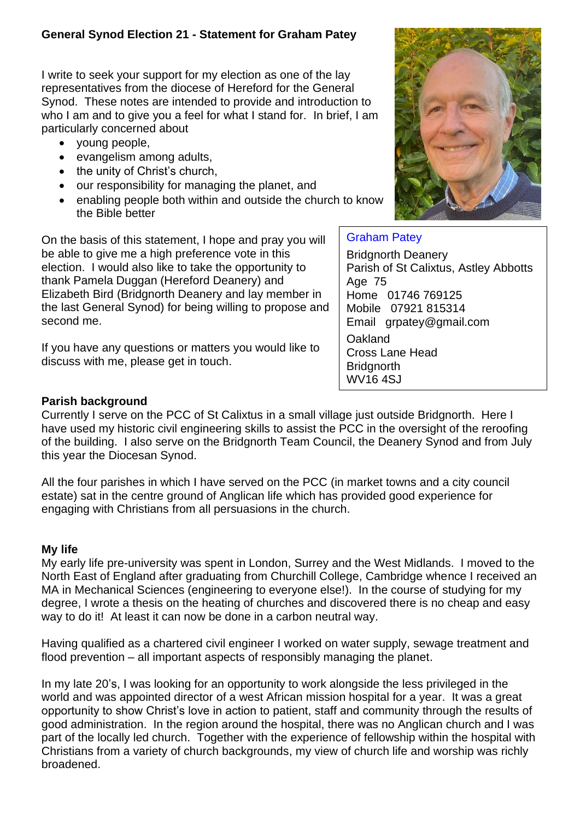# **General Synod Election 21 - Statement for Graham Patey**

I write to seek your support for my election as one of the lay representatives from the diocese of Hereford for the General Synod. These notes are intended to provide and introduction to who I am and to give you a feel for what I stand for. In brief, I am particularly concerned about

- young people,
- evangelism among adults,
- the unity of Christ's church,
- our responsibility for managing the planet, and
- enabling people both within and outside the church to know the Bible better

On the basis of this statement, I hope and pray you will be able to give me a high preference vote in this election. I would also like to take the opportunity to thank Pamela Duggan (Hereford Deanery) and Elizabeth Bird (Bridgnorth Deanery and lay member in the last General Synod) for being willing to propose and second me.

If you have any questions or matters you would like to discuss with me, please get in touch.



# Graham Patey

Bridgnorth Deanery Parish of St Calixtus, Astley Abbotts Age 75 Home 01746 769125 Mobile 07921 815314 Email grpatey@gmail.com **Oakland** Cross Lane Head **Bridgnorth** WV16 4SJ

# **Parish background**

Currently I serve on the PCC of St Calixtus in a small village just outside Bridgnorth. Here I have used my historic civil engineering skills to assist the PCC in the oversight of the reroofing of the building. I also serve on the Bridgnorth Team Council, the Deanery Synod and from July this year the Diocesan Synod.

All the four parishes in which I have served on the PCC (in market towns and a city council estate) sat in the centre ground of Anglican life which has provided good experience for engaging with Christians from all persuasions in the church.

# **My life**

My early life pre-university was spent in London, Surrey and the West Midlands. I moved to the North East of England after graduating from Churchill College, Cambridge whence I received an MA in Mechanical Sciences (engineering to everyone else!). In the course of studying for my degree, I wrote a thesis on the heating of churches and discovered there is no cheap and easy way to do it! At least it can now be done in a carbon neutral way.

Having qualified as a chartered civil engineer I worked on water supply, sewage treatment and flood prevention – all important aspects of responsibly managing the planet.

In my late 20's, I was looking for an opportunity to work alongside the less privileged in the world and was appointed director of a west African mission hospital for a year. It was a great opportunity to show Christ's love in action to patient, staff and community through the results of good administration. In the region around the hospital, there was no Anglican church and I was part of the locally led church. Together with the experience of fellowship within the hospital with Christians from a variety of church backgrounds, my view of church life and worship was richly broadened.